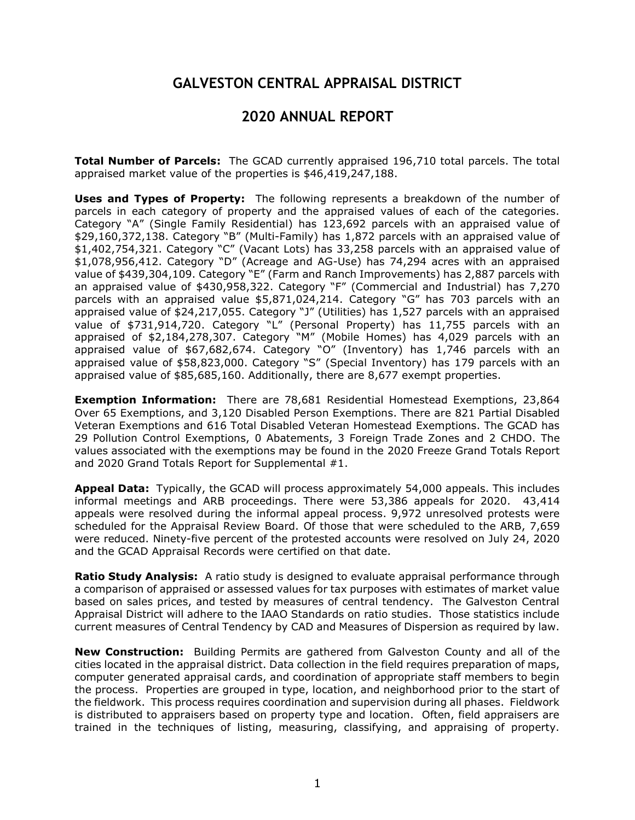## **GALVESTON CENTRAL APPRAISAL DISTRICT**

## **2020 ANNUAL REPORT**

**Total Number of Parcels:** The GCAD currently appraised 196,710 total parcels. The total appraised market value of the properties is \$46,419,247,188.

**Uses and Types of Property:** The following represents a breakdown of the number of parcels in each category of property and the appraised values of each of the categories. Category "A" (Single Family Residential) has 123,692 parcels with an appraised value of \$29,160,372,138. Category "B" (Multi-Family) has 1,872 parcels with an appraised value of \$1,402,754,321. Category "C" (Vacant Lots) has 33,258 parcels with an appraised value of \$1,078,956,412. Category "D" (Acreage and AG-Use) has 74,294 acres with an appraised value of \$439,304,109. Category "E" (Farm and Ranch Improvements) has 2,887 parcels with an appraised value of \$430,958,322. Category "F" (Commercial and Industrial) has 7,270 parcels with an appraised value \$5,871,024,214. Category "G" has 703 parcels with an appraised value of \$24,217,055. Category "J" (Utilities) has 1,527 parcels with an appraised value of \$731,914,720. Category "L" (Personal Property) has 11,755 parcels with an appraised of \$2,184,278,307. Category "M" (Mobile Homes) has 4,029 parcels with an appraised value of \$67,682,674. Category "O" (Inventory) has 1,746 parcels with an appraised value of \$58,823,000. Category "S" (Special Inventory) has 179 parcels with an appraised value of \$85,685,160. Additionally, there are 8,677 exempt properties.

**Exemption Information:** There are 78,681 Residential Homestead Exemptions, 23,864 Over 65 Exemptions, and 3,120 Disabled Person Exemptions. There are 821 Partial Disabled Veteran Exemptions and 616 Total Disabled Veteran Homestead Exemptions. The GCAD has 29 Pollution Control Exemptions, 0 Abatements, 3 Foreign Trade Zones and 2 CHDO. The values associated with the exemptions may be found in the 2020 Freeze Grand Totals Report and 2020 Grand Totals Report for Supplemental #1.

**Appeal Data:** Typically, the GCAD will process approximately 54,000 appeals. This includes informal meetings and ARB proceedings. There were 53,386 appeals for 2020. 43,414 appeals were resolved during the informal appeal process. 9,972 unresolved protests were scheduled for the Appraisal Review Board. Of those that were scheduled to the ARB, 7,659 were reduced. Ninety-five percent of the protested accounts were resolved on July 24, 2020 and the GCAD Appraisal Records were certified on that date.

**Ratio Study Analysis:** A ratio study is designed to evaluate appraisal performance through a comparison of appraised or assessed values for tax purposes with estimates of market value based on sales prices, and tested by measures of central tendency. The Galveston Central Appraisal District will adhere to the IAAO Standards on ratio studies. Those statistics include current measures of Central Tendency by CAD and Measures of Dispersion as required by law.

**New Construction:** Building Permits are gathered from Galveston County and all of the cities located in the appraisal district. Data collection in the field requires preparation of maps, computer generated appraisal cards, and coordination of appropriate staff members to begin the process. Properties are grouped in type, location, and neighborhood prior to the start of the fieldwork. This process requires coordination and supervision during all phases. Fieldwork is distributed to appraisers based on property type and location. Often, field appraisers are trained in the techniques of listing, measuring, classifying, and appraising of property.